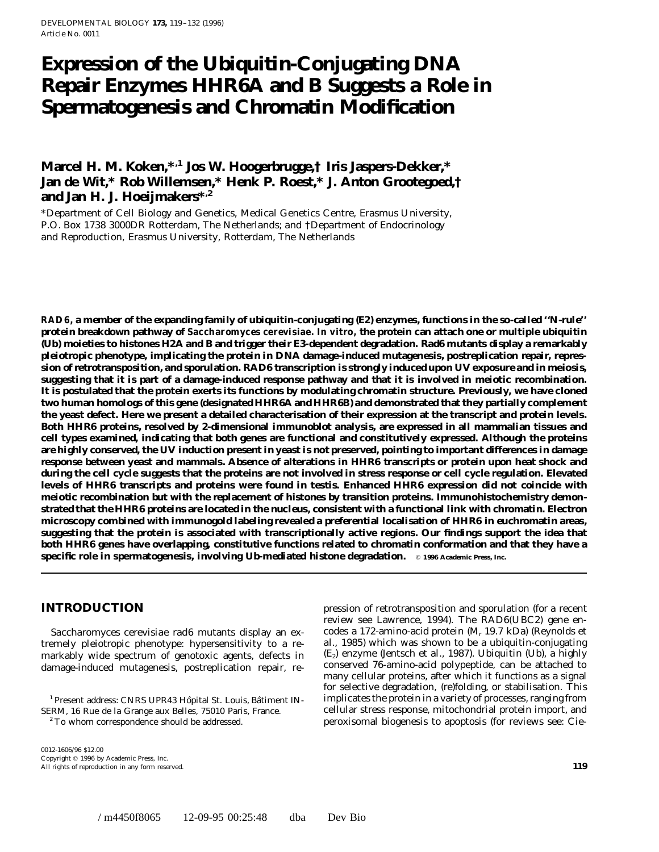# **Expression of the Ubiquitin-Conjugating DNA Repair Enzymes HHR6A and B Suggests a Role in Spermatogenesis and Chromatin Modification**

## **Marcel H. M. Koken,\*,1 Jos W. Hoogerbrugge,† Iris Jaspers-Dekker,\* Jan de Wit,\* Rob Willemsen,\* Henk P. Roest,\* J. Anton Grootegoed,† and Jan H. J. Hoeijmakers\*,2**

\**Department of Cell Biology and Genetics, Medical Genetics Centre, Erasmus University, P.O. Box 1738 3000DR Rotterdam, The Netherlands; and* †*Department of Endocrinology and Reproduction, Erasmus University, Rotterdam, The Netherlands*

*RAD6,* **a member of the expanding family of ubiquitin-conjugating (E2) enzymes, functions in the so-called ''N-rule'' protein breakdown pathway of** *Saccharomyces cerevisiae. In vitro,* **the protein can attach one or multiple ubiquitin (Ub) moieties to histones H2A and B and trigger their E3-dependent degradation. Rad6 mutants display a remarkably pleiotropic phenotype, implicating the protein in DNA damage-induced mutagenesis, postreplication repair, repression of retrotransposition, and sporulation. RAD6 transcription is strongly induced upon UV exposure and in meiosis, suggesting that it is part of a damage-induced response pathway and that it is involved in meiotic recombination. It is postulated that the protein exerts its functions by modulating chromatin structure. Previously, we have cloned two human homologs of this gene (designated HHR6A and HHR6B) and demonstrated that they partially complement the yeast defect. Here we present a detailed characterisation of their expression at the transcript and protein levels. Both HHR6 proteins, resolved by 2-dimensional immunoblot analysis, are expressed in all mammalian tissues and cell types examined, indicating that both genes are functional and constitutively expressed. Although the proteins are highly conserved, the UV induction present in yeast is not preserved, pointing to important differences in damage response between yeast and mammals. Absence of alterations in HHR6 transcripts or protein upon heat shock and during the cell cycle suggests that the proteins are not involved in stress response or cell cycle regulation. Elevated levels of HHR6 transcripts and proteins were found in testis. Enhanced HHR6 expression did not coincide with meiotic recombination but with the replacement of histones by transition proteins. Immunohistochemistry demonstrated that the HHR6 proteins are located in the nucleus, consistent with a functional link with chromatin. Electron microscopy combined with immunogold labeling revealed a preferential localisation of HHR6 in euchromatin areas, suggesting that the protein is associated with transcriptionally active regions. Our findings support the idea that both HHR6 genes have overlapping, constitutive functions related to chromatin conformation and that they have a specific role in spermatogenesis, involving Ub-mediated histone degradation.** <sup>q</sup> **1996 Academic Press, Inc.**

tremely pleiotropic phenotype: hypersensitivity to a re- *al.*, 1985) which was shown to be a ubiquitin-conjugating markably wide spectrum of genotoxic agents, defects in (E<sub>2</sub>) enzyme (Jentsch *et al.*, 1987). Ubiquitin ( markably wide spectrum of genotoxic agents, defects in (E<sub>2</sub>) enzyme (Jentsch *et al.,* 1987). Ubiquitin (Ub), a highly damage-induced mutagenesis, postreplication repair, re-<br>conserved 76-amino-acid polypeptide, can be at

**INTRODUCTION** pression of retrotransposition and sporulation (for a recent review see Lawrence, 1994). The *RAD6(UBC2)* gene en-*Saccharomyces cerevisiae rad6* mutants display an ex- codes a 172-amino-acid protein (*M*<sup>r</sup> 19.7 kDa) (Reynolds *et* damage-induced mutagenesis, postreplication repair, re- conserved 76-amino-acid polypeptide, can be attached to<br>many cellular proteins, after which it functions as a signal for selective degradation, (re)folding, or stabilisation. This <sup>1</sup> Present address: CNRS UPR43 Hôpital St. Louis, Bâtiment IN- implicates the protein in a variety of processes, ranging from SERM, 16 Rue de la Grange aux Belles, 75010 Paris, France. cellular stress response, mitochondrial protein import, and <sup>2</sup> To whom correspondence should be addressed. **peroxisomal biogenesis to apoptosis (for reviews see: Cie-**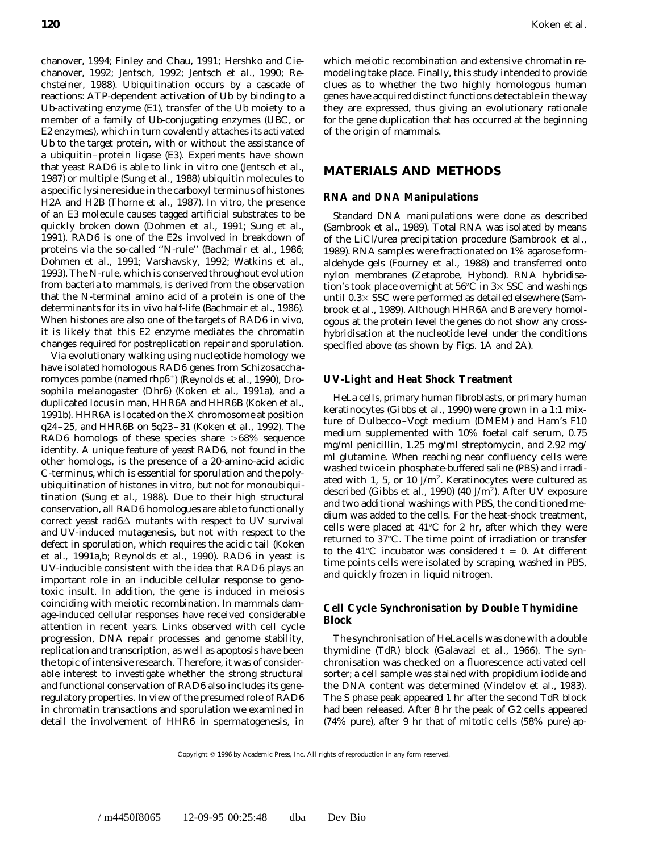chanover, 1994; Finley and Chau, 1991; Hershko and Cie- which meiotic recombination and extensive chromatin rechanover, 1992; Jentsch, 1992; Jentsch *et al.,* 1990; Re- modeling take place. Finally, this study intended to provide chsteiner, 1988). Ubiquitination occurs by a cascade of clues as to whether the two highly homologous human Ub-activating enzyme (E1), transfer of the Ub moiety to a they are expressed, thus giving an evolutionary rationale E2 enzymes), which in turn covalently attaches its activated of the origin of mammals. Ub to the target protein, with or without the assistance of a ubiquitin–protein ligase (E3). Experiments have shown that yeast RAD6 is able to link *in vitro* one (Jentsch *et al.,* **MATERIALS AND METHODS** 1987) or multiple (Sung *et al.,* 1988) ubiquitin molecules to a specific lysine residue in the carboxyl terminus of histones *RNA and DNA Manipulations* H2A and H2B (Thorne *et al.,* 1987). *In vitro,* the presence of an E3 molecule causes tagged artificial substrates to be<br>quickly broken down (Dohmen *et al.*, 1991; Sung *et al.,* (Sambrook *et al.*, 1989). Total RNA was isolated by means 1991). RAD6 is one of the E2s involved in breakdown of of the LiCl/urea precipitation procedure (Sambrook *et al.,* proteins via the so-called "N-rule" (Bachmair *et al.,* 1986; 1989). RNA samples were fractionated on 1% a proteins via the so-called ''N-rule'' (Bachmair *et al.,* 1986; 1989). RNA samples were fractionated on 1% agarose form-Dohmen *et al.,* 1991; Varshavsky, 1992; Watkins *et al.,* aldehyde gels (Fourney *et al.,* 1988) and transferred onto 1993). The N-rule, which is conserved throughout evolution nylon membranes (Zetaprobe, Hybond). RNA hybridisa-<br>from bacteria to mammals, is derived from the observation tion's took place overnight at 56°C in 3× SSC and wa that the N-terminal amino acid of a protein is one of the until  $0.3 \times$  SSC were performed as detailed elsewhere (Sam-<br>determinants for its *in vivo* half-life (Bachmair *et al.*, 1986). brook *et al.* 1989). Although HHR determinants for its *in vivo* half-life (Bachmair *et al.,* 1986). brook *et al.,* 1989). Although HHR6A and B are very homolit is likely that this E2 enzyme mediates the chromatin hybridisation at the nucleotide level under the conditions changes required for postreplication repair and sporulation. specified above (as shown by Figs. 1A and 2A).

Via evolutionary walking using nucleotide homology we have isolated homologous *RAD6* genes from *Schizosaccharomyces pombe* (named *rhp6*/) (Reynolds *et al.,* 1990), *Dro- UV-Light and Heat Shock Treatment* sophila melanogaster (Dhr6) (Koken et al., 1991a), and a<br>duplicated locus in man, HHR6A and HHR6B (Koken et al.,<br>1991b). HHR6A is located on the X chromosome at position<br>q24–25, and HHR6B on 5q23–31 (Koken et al., 1992). C-terminus, which is essential for sporulation and the poly-<br>ubiquitination of histones *in vitro*, but not for monoubiqui-<br>tination (Sung *et al.*, 1988). Due to their high structural<br>described (Gibbs *et al.*, 1990) (40 Example to their high structural<br>conservation (Sung *et al.*, 1988). Due to their high structural<br>conservation, all *RAD6* homologues are able to functionally<br>correct yeast *rad6* $\Delta$  mutants with respect to UV survival<br>a toxic insult. In addition, the gene is induced in meiosis coinciding with meiotic recombination. In mammals dam-<br>age-induced cellular responses have received considerable<br>attention in recent years. Links observed with cell cycle<br>Block<br>Block progression, DNA repair processes and genome stability, The synchronisation of HeLa cells was done with a double replication and transcription, as well as apoptosis have been thymidine (TdR) block (Galavazi *et al.,* 1966). The synthe topic of intensive research. Therefore, it was of consider- chronisation was checked on a fluorescence activated cell able interest to investigate whether the strong structural sorter; a cell sample was stained with propidium iodide and and functional conservation of RAD6 also includes its gene- the DNA content was determined (Vindelov *et al.,* 1983). regulatory properties. In view of the presumed role of RAD6 The S phase peak appeared 1 hr after the second TdR block in chromatin transactions and sporulation we examined in had been released. After 8 hr the peak of G2 cells appeared detail the involvement of HHR6 in spermatogenesis, in (74% pure), after 9 hr that of mitotic cells (58% pure) ap-

reactions: ATP-dependent activation of Ub by binding to a genes have acquired distinct functions detectable in the way member of a family of Ub-conjugating enzymes (UBC, or for the gene duplication that has occurred at the beginning

(Sambrook *et al.,* 1989). Total RNA was isolated by means tion's took place overnight at 56°C in 3 $\times$  SSC and washings ogous at the protein level the genes do not show any cross-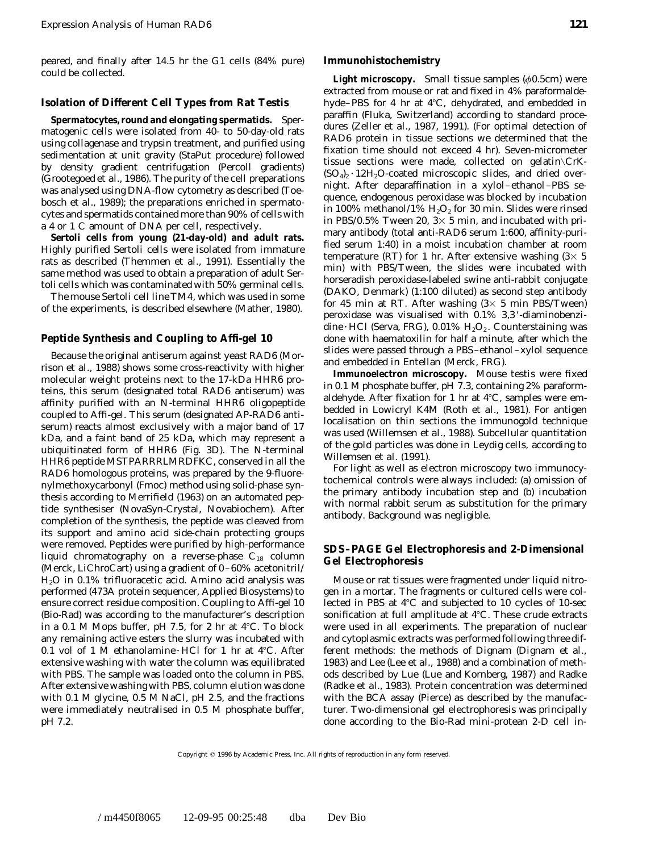peared, and finally after 14.5 hr the G1 cells (84% pure) *Immunohistochemistry* could be collected. **Light microscopy.** Small tissue samples ( $\phi$ 0.5cm) were

Because the original antiserum against yeast RAD6 (Morsion et al., 1988) shows some cross-reactivity with higher<br>
manumeelection microscopy. Mouse testis were reaction of all, 1988) shows some cross-reactivity with higher its support and amino acid side-chain protecting groups were removed. Peptides were purified by high-performance<br>liquid chromatography on a reverse-phase  $C_{18}$  column<br>(Merck, LiChroCart) using a gradient of 0–60% acetonitril/<br>(Merck, LiChroCart) using a gradient of 0–60% ace H2O in 0.1% trifluoracetic acid. Amino acid analysis was Mouse or rat tissues were fragmented under liquid nitroperformed (473A protein sequencer, Applied Biosystems) to gen in a mortar. The fragments or cultured cells were colensure correct residue composition. Coupling to Affi-gel 10 lected in PBS at 4°C and subjected to 10 cycles of 10-sec (Bio-Rad) was according to the manufacturer's description sonification at full amplitude at 47C. These crude extracts in a 0.1 *M* Mops buffer, pH 7.5, for 2 hr at  $4^{\circ}$ C. To block were used in all experiments. The preparation of nuclear any remaining active esters the slurry was incubated with and cytoplasmic extracts was performed following three dif-0.1 vol of 1 *M* ethanolamine HCl for 1 hr at  $4^{\circ}$ C. After ferent methods: the methods of Dignam (Dignam *et al.*, extensive washing with water the column was equilibrated 1983) and Lee (Lee *et al.,* 1988) and a combination of methwith PBS. The sample was loaded onto the column in PBS. ods described by Lue (Lue and Kornberg, 1987) and Radke After extensive washing with PBS, column elution was done (Radke *et al.,* 1983). Protein concentration was determined with 0.1 *M* glycine, 0.5 *M* NaCl, pH 2.5, and the fractions with the BCA assay (Pierce) as described by the manufacwere immediately neutralised in 0.5 *M* phosphate buffer, turer. Two-dimensional gel electrophoresis was principally pH 7.2. done according to the Bio-Rad mini-protean 2-D cell in-

extracted from mouse or rat and fixed in 4% paraformalde-**Isolation of Different Cell Types from Rat Testis** hyde–PBS for 4 hr at 4°C, dehydrated, and embedded in **Spermatocytes, round and elongating spermatids.** Sper-<br>mation (Filuka, Switzerland) according to standard proce-<br>mationgenic cells were isolated from 40- to 50-day-old ratis dures (Zeller et al., 1987, 1991). (For optima dine · HCl (Serva, FRG),  $0.01\%$  H<sub>2</sub>O<sub>2</sub>. Counterstaining was **Peptide Synthesis and Coupling to Affi-gel 10** done with haematoxilin for half a minute, after which the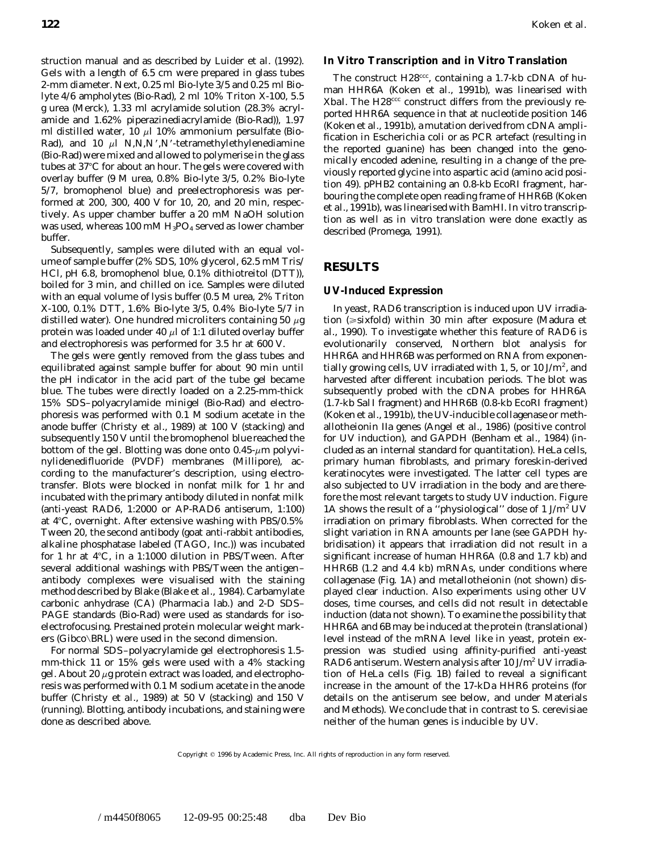struction manual and as described by Luider *et al.* (1992). *In Vitro Transcription and in Vitro Translation* Gels with a length of 6.5 cm were prepared in glass tubes<br>
2-mm diameter. Next, 0.25 ml Bio-lyte 3/5 and 0.25 ml Bio-lyte 4/6 ampholytes (Bio-Rad), 2 ml 10% Triton X-100, 5.5<br>
1.92% are mm HHR6A (Koken et al., 1991b), was

Subsequently, samples were diluted with an equal volume of sample buffer (2% SDS, 10% glycerol, 62.5 m*<sup>M</sup>* Tris/ **RESULTS** HCl, pH 6.8, bromophenol blue, 0.1% dithiotreitol (DTT)), boiled for 3 min, and chilled on ice. Samples were diluted *UV-Induced Expression* with an equal volume of lysis buffer (0.5 *<sup>M</sup>* urea, 2% Triton

equilibrated against sample buffer for about 90 min until tially growing cells, UV irradiated with 1, 5, or  $10 \text{ J/m}^2$ , and the pH indicator in the acid part of the tube gel became harvested after different incubation periods. The blot was blue. The tubes were directly loaded on a 2.25-mm-thick subsequently probed with the cDNA probes for *HHR6A* 15% SDS–polyacrylamide minigel (Bio-Rad) and electro- (1.7-kb *Sal*I fragment) and *HHR6B* (0.8-kb *Eco*RI fragment) phoresis was performed with 0.1 *M* sodium acetate in the (Koken *et al.,* 1991b), the UV-inducible collagenase or methanode buffer (Christy *et al.,* 1989) at 100 V (stacking) and allotheionin IIa genes (Angel *et al.,* 1986) (positive control subsequently 150 V until the bromophenol blue reached the for UV induction), and GAPDH (Benham *et al.*, 1984) (inbottom of the gel. Blotting was done onto  $0.45-\mu m$  polyvi-cluded as an internal standard for quantitation). HeLa cells, nylidenedifluoride (PVDF) membranes (Millipore), ac- primary human fibroblasts, and primary foreskin-derived cording to the manufacturer's description, using electro- keratinocytes were investigated. The latter cell types are transfer. Blots were blocked in nonfat milk for 1 hr and also subjected to UV irradiation in the body and are thereincubated with the primary antibody diluted in nonfat milk fore the most relevant targets to study UV induction. Figure (anti-yeast RAD6, 1:2000 or AP-RAD6 antiserum, 1:100) 1A shows the result of a "physiological" dose of  $1 \text{ J/m}^2$  UV at 47C, overnight. After extensive washing with PBS/0.5% irradiation on primary fibroblasts. When corrected for the Tween 20, the second antibody (goat anti-rabbit antibodies, slight variation in RNA amounts per lane (see GAPDH hyalkaline phosphatase labeled (TAGO, Inc.)) was incubated bridisation) it appears that irradiation did not result in a for 1 hr at 47C, in a 1:1000 dilution in PBS/Tween. After significant increase of human *HHR6A* (0.8 and 1.7 kb) and several additional washings with PBS/Tween the antigen– *HHR6B* (1.2 and 4.4 kb) mRNAs, under conditions where antibody complexes were visualised with the staining collagenase (Fig. 1A) and metallotheionin (not shown) dismethod described by Blake (Blake *et al.,* 1984). Carbamylate played clear induction. Also experiments using other UV carbonic anhydrase (CA) (Pharmacia lab.) and 2-D SDS– doses, time courses, and cells did not result in detectable PAGE standards (Bio-Rad) were used as standards for iso- induction (data not shown). To examine the possibility that electrofocusing. Prestained protein molecular weight mark- HHR6A and 6B may be induced at the protein (translational) ers (Gibco\BRL) were used in the second dimension. level instead of the mRNA level like in yeast, protein ex-

done as described above. The neither of the human genes is inducible by UV.

X-100, 0.1% DTT, 1.6% Bio-lyte 3/5, 0.4% Bio-lyte 5/7 in In yeast, *RAD6* transcription is induced upon UV irradiadistilled water). One hundred microliters containing 50  $\mu$ g tion ( $\geq$ sixfold) within 30 min after exposure (Madura *et* protein was loaded under 40 µl of 1:1 diluted overlay buffer *al.*, 1990). To investigate whether this feature of *RAD6* is and electrophoresis was performed for 3.5 hr at 600 V. evolutionarily conserved, Northern blot analysis for The gels were gently removed from the glass tubes and *HHR6A* and *HHR6B* was performed on RNA from exponen-For normal SDS–polyacrylamide gel electrophoresis 1.5- pression was studied using affinity-purified anti-yeast mm-thick 11 or 15% gels were used with a 4% stacking RAD6 antiserum. Western analysis after 10 J/m<sup>2</sup> UV irradiagel. About 20  $\mu$ g protein extract was loaded, and electropho- tion of HeLa cells (Fig. 1B) failed to reveal a significant resis was performed with 0.1 *M* sodium acetate in the anode increase in the amount of the 17-kDa HHR6 proteins (for buffer (Christy *et al.,* 1989) at 50 V (stacking) and 150 V details on the antiserum see below, and under Materials (running). Blotting, antibody incubations, and staining were and Methods). We conclude that in contrast to *S. cerevisiae*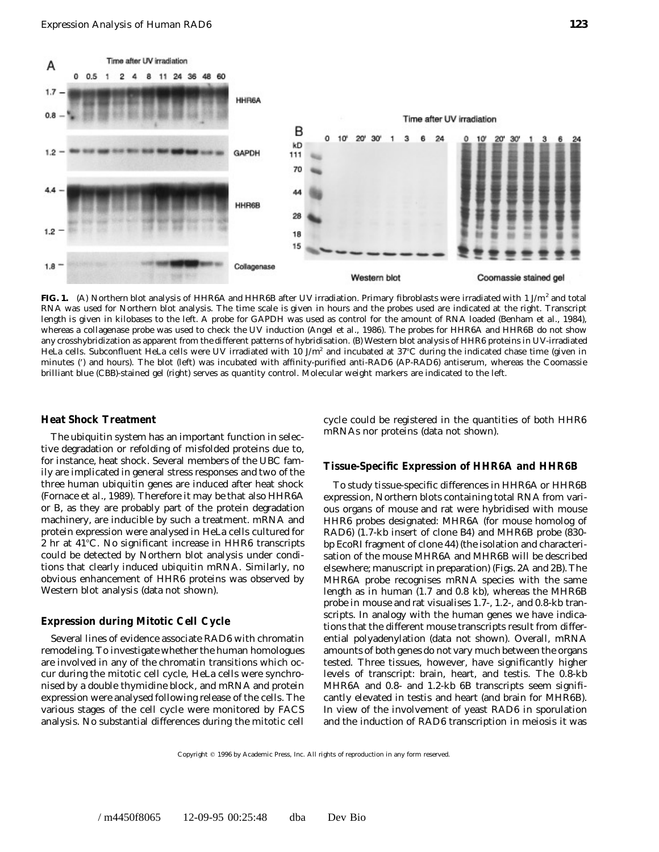

**FIG. 1.** (A) Northern blot analysis of *HHR6A* and *HHR6B* after UV irradiation. Primary fibroblasts were irradiated with 1 J/m<sup>2</sup> and total RNA was used for Northern blot analysis. The time scale is given in hours and the probes used are indicated at the right. Transcript length is given in kilobases to the left. A probe for GAPDH was used as control for the amount of RNA loaded (Benham *et al.,* 1984), whereas a collagenase probe was used to check the UV induction (Angel *et al.,* 1986). The probes for *HHR6A* and *HHR6B* do not show any crosshybridization as apparent from the different patterns of hybridisation. (B) Western blot analysis of HHR6 proteins in UV-irradiated HeLa cells. Subconfluent HeLa cells were UV irradiated with 10 J/m<sup>2</sup> and incubated at 37°C during the indicated chase time (given in minutes (\*) and hours). The blot (left) was incubated with affinity-purified anti-RAD6 (AP-RAD6) antiserum, whereas the Coomassie brilliant blue (CBB)-stained gel (right) serves as quantity control. Molecular weight markers are indicated to the left.

mRNAs nor proteins (data not shown). The ubiquitin system has an important function in selective degradation or refolding of misfolded proteins due to, for instance, heat shock. Several members of the UBC fam-<br>ily are implicated in general stress responses and two of the *Tissue-Specific Expression of HHR6A and HHR6B* three human ubiquitin genes are induced after heat shock To study tissue-specific differences in *HHR6A* or *HHR6B*

*Heat Shock Treatment* **cycle could be registered in the quantities of both** *HHR6* 

(Fornace *et al.,* 1989). Therefore it may be that also *HHR6A* expression, Northern blots containing total RNA from varior *B,* as they are probably part of the protein degradation ous organs of mouse and rat were hybridised with mouse machinery, are inducible by such a treatment. mRNA and HHR6 probes designated: *MHR6A* (for mouse homolog of protein expression were analysed in HeLa cells cultured for RAD6) (1.7-kb insert of clone B4) and *MHR6B* probe (830- 2 hr at 417C. No significant increase in *HHR6* transcripts bp *Eco*RI fragment of clone 44) (the isolation and charactericould be detected by Northern blot analysis under condi- sation of the mouse *MHR6A* and *MHR6B* will be described tions that clearly induced ubiquitin mRNA. Similarly, no elsewhere; manuscript in preparation) (Figs. 2A and 2B). The obvious enhancement of HHR6 proteins was observed by *MHR6A* probe recognises mRNA species with the same Western blot analysis (data not shown). length as in human (1.7 and 0.8 kb), whereas the *MHR6B* probe in mouse and rat visualises 1.7-, 1.2-, and 0.8-kb transcripts. In analogy with the human genes we have indica- *Expression during Mitotic Cell Cycle* tions that the different mouse transcripts result from differ-Several lines of evidence associate RAD6 with chromatin ential polyadenylation (data not shown). Overall, mRNA remodeling. To investigate whether the human homologues amounts of both genes do not vary much between the organs are involved in any of the chromatin transitions which oc- tested. Three tissues, however, have significantly higher cur during the mitotic cell cycle, HeLa cells were synchro- levels of transcript: brain, heart, and testis. The 0.8-kb nised by a double thymidine block, and mRNA and protein *MHR6A* and 0.8- and 1.2-kb *6B* transcripts seem signifiexpression were analysed following release of the cells. The cantly elevated in testis and heart (and brain for *MHR6B*). various stages of the cell cycle were monitored by FACS In view of the involvement of yeast RAD6 in sporulation analysis. No substantial differences during the mitotic cell and the induction of RAD6 transcription in meiosis it was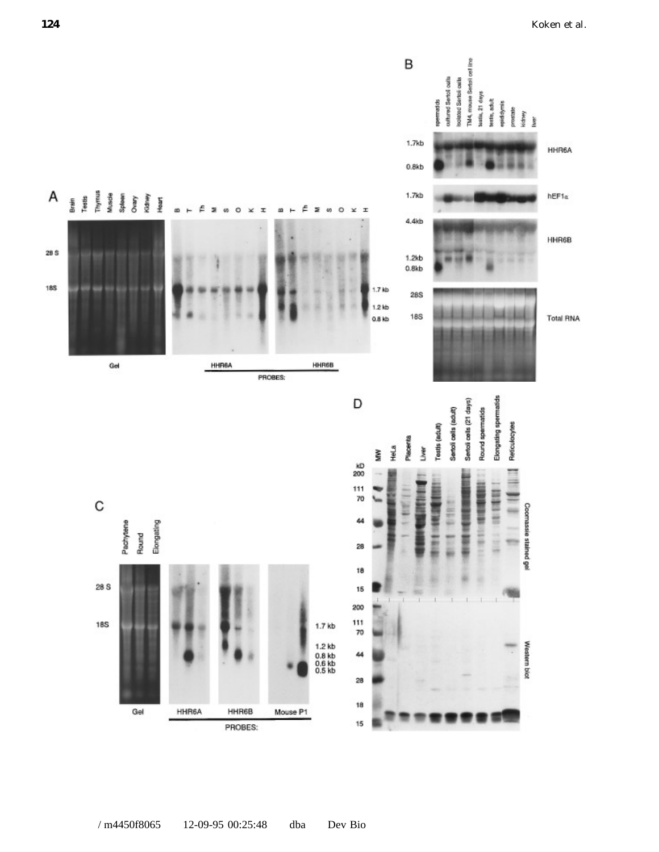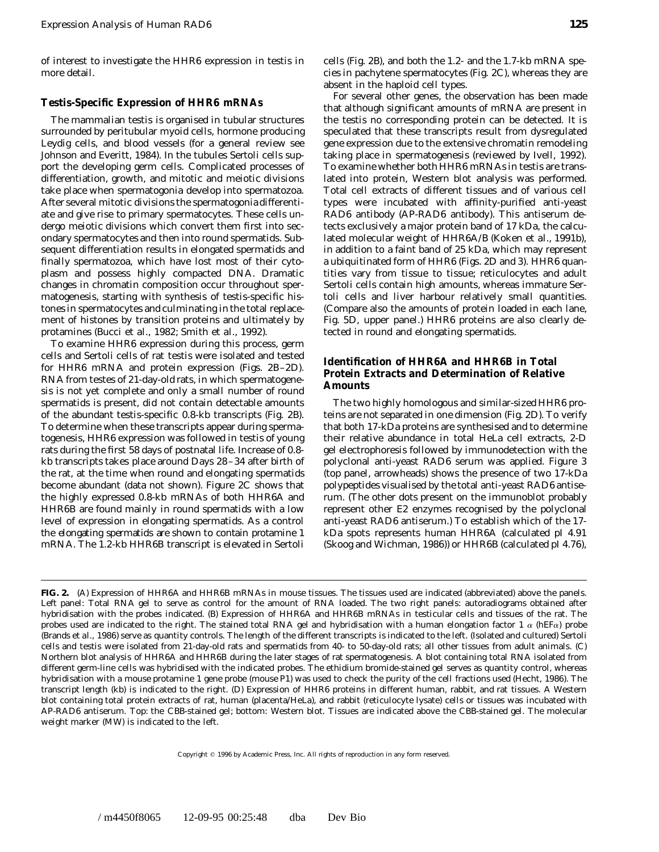of interest to investigate the *HHR6* expression in testis in cells (Fig. 2B), and both the 1.2- and the 1.7-kb mRNA spe-

Johnson and Everitt, 1984). In the tubules Sertoli cells sup- taking place in spermatogenesis (reviewed by Ivell, 1992). port the developing germ cells. Complicated processes of To examine whether both *HHR6* mRNAs in testis are transdifferentiation, growth, and mitotic and meiotic divisions lated into protein, Western blot analysis was performed. take place when spermatogonia develop into spermatozoa. Total cell extracts of different tissues and of various cell ate and give rise to primary spermatocytes. These cells un- RAD6 antibody (AP-RAD6 antibody). This antiserum dedergo meiotic divisions which convert them first into sec-<br>tects exclusively a major protein band of 17 kDa, the calcuondary spermatocytes and then into round spermatids. Sub- lated molecular weight of HHR6A/B (Koken *et al.,* 1991b), plasm and possess highly compacted DNA. Dramatic tities vary from tissue to tissue; reticulocytes and adult changes in chromatin composition occur throughout sper- Sertoli cells contain high amounts, whereas immature Sermatogenesis, starting with synthesis of testis-specific his- toli cells and liver harbour relatively small quantities. ment of histones by transition proteins and ultimately by Fig. 5D, upper panel.) HHR6 proteins are also clearly deprotamines (Bucci *et al.,* 1982; Smith *et al.,* 1992). tected in round and elongating spermatids.

To examine *HHR6* expression during this process, germ cells and Sertoli cells of rat testis were isolated and tested<br>for HHR6 mRNA and protein expression (Figs. 2B-2D).<br>RNA from testes of 21-day-old rats, in which spermatogene-<br>sis is not yet complete and only a small number spermatids is present, did not contain detectable amounts The two highly homologous and similar-sized HHR6 proof the abundant testis-specific 0.8-kb transcripts (Fig. 2B). teins are not separated in one dimension (Fig. 2D). To verify To determine when these transcripts appear during sperma- that both 17-kDa proteins are synthesised and to determine togenesis, *HHR6* expression was followed in testis of young their relative abundance in total HeLa cell extracts, 2-D rats during the first 58 days of postnatal life. Increase of 0.8- gel electrophoresis followed by immunodetection with the kb transcripts takes place around Days 28–34 after birth of polyclonal anti-yeast RAD6 serum was applied. Figure 3 the rat, at the time when round and elongating spermatids (top panel, arrowheads) shows the presence of two 17-kDa become abundant (data not shown). Figure 2C shows that polypeptides visualised by the total anti-yeast RAD6 antisethe highly expressed 0.8-kb mRNAs of both *HHR6A* and rum. (The other dots present on the immunoblot probably *HHR6B* are found mainly in round spermatids with a low represent other E2 enzymes recognised by the polyclonal level of expression in elongating spermatids. As a control anti-yeast RAD6 antiserum.) To establish which of the 17 the elongating spermatids are shown to contain protamine 1 kDa spots represents human HHR6A (calculated p*I* 4.91 mRNA. The 1.2-kb *HHR6B* transcript is elevated in Sertoli (Skoog and Wichman, 1986)) or HHR6B (calculated p*I* 4.76),

more detail. cies in pachytene spermatocytes (Fig. 2C), whereas they are absent in the haploid cell types.

**Testis-Specific Expression of HHR6 mRNAs** For several other genes, the observation has been made that although significant amounts of mRNA are present in The mammalian testis is organised in tubular structures the testis no corresponding protein can be detected. It is surrounded by peritubular myoid cells, hormone producing speculated that these transcripts result from dysregulated Leydig cells, and blood vessels (for a general review see gene expression due to the extensive chromatin remodeling After several mitotic divisions the spermatogonia differenti- types were incubated with affinity-purified anti-yeast sequent differentiation results in elongated spermatids and in addition to a faint band of 25 kDa, which may represent finally spermatozoa, which have lost most of their cyto- a ubiquitinated form of HHR6 (Figs. 2D and 3). HHR6 quantones in spermatocytes and culminating in the total replace- (Compare also the amounts of protein loaded in each lane,

**FIG. 2.** (A) Expression of *HHR6A* and *HHR6B* mRNAs in mouse tissues. The tissues used are indicated (abbreviated) above the panels. Left panel: Total RNA gel to serve as control for the amount of RNA loaded. The two right panels: autoradiograms obtained after hybridisation with the probes indicated. (B) Expression of *HHR6A* and *HHR6B* mRNAs in testicular cells and tissues of the rat. The probes used are indicated to the right. The stained total RNA gel and hybridisation with a human elongation factor 1  $\alpha$  (hEF $\alpha$ ) probe (Brands *et al.,* 1986) serve as quantity controls. The length of the different transcripts is indicated to the left. (Isolated and cultured) Sertoli cells and testis were isolated from 21-day-old rats and spermatids from 40- to 50-day-old rats; all other tissues from adult animals. (C) Northern blot analysis of *HHR6A* and *HHR6B* during the later stages of rat spermatogenesis. A blot containing total RNA isolated from different germ-line cells was hybridised with the indicated probes. The ethidium bromide-stained gel serves as quantity control, whereas hybridisation with a mouse protamine 1 gene probe (mouse P1) was used to check the purity of the cell fractions used (Hecht, 1986). The transcript length (kb) is indicated to the right. (D) Expression of HHR6 proteins in different human, rabbit, and rat tissues. A Western blot containing total protein extracts of rat, human (placenta/HeLa), and rabbit (reticulocyte lysate) cells or tissues was incubated with AP-RAD6 antiserum. Top: the CBB-stained gel; bottom: Western blot. Tissues are indicated above the CBB-stained gel. The molecular weight marker (MW) is indicated to the left.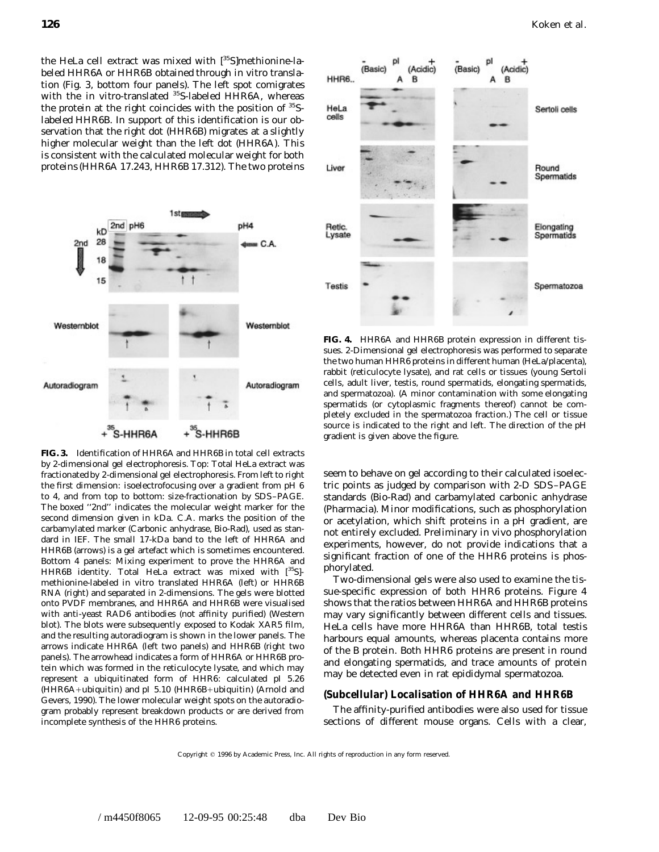the HeLa cell extract was mixed with  $[35S]$ methionine-labeled HHR6A or HHR6B obtained through *in vitro* translation (Fig. 3, bottom four panels). The left spot comigrates with the *in vitro*-translated <sup>35</sup>S-labeled HHR6A, whereas the protein at the right coincides with the position of  ${}^{35}S$ labeled HHR6B. In support of this identification is our observation that the right dot (HHR6B) migrates at a slightly higher molecular weight than the left dot (HHR6A). This is consistent with the calculated molecular weight for both proteins (HHR6A 17.243, HHR6B 17.312). The two proteins



**FIG. 3.** Identification of HHR6A and HHR6B in total cell extracts by 2-dimensional gel electrophoresis. Top: Total HeLa extract was fractionated by 2-dimensional gel electrophoresis. From left to right seem to behave on gel according to their calculated isoelecthe first dimension: isoelectrofocusing over a gradient from  $pH_6$  tric points as judged by comparison with 2-D SDS–PAGE to 4, and from top to bottom: size-fractionation by SDS–PAGE. standards (Bio-Rad) and carbamylated carbonic anhydrase<br>The boxed "2nd" indicates the molecular weight marker for the (Pharmacia). Minor modifications, such as The boxed "2nd" indicates the molecular weight marker for the<br>second dimension given in kDa. C.A. marks the position of the<br>carbamylated marker (Carbonic anhydrase, Bio-Rad), used as stan-<br>dard in IEF. The small 17-kDa ban HHR6B identity. Total HeLa extract was mixed with [<sup>35</sup>S]. PHOTYIated.<br>methionine-labeled *in vitro* translated *HHR6A* (left) or *HHR6B* Two-dimensional gels were also used to examine the tis-RNA (right) and separated in 2-dimensions. The gels were blotted sue-specific expression of both HHR6 proteins. Figure 4 onto PVDF membranes, and HHR6A and HHR6B were visualised shows that the ratios between HHR6A and HHR6B proteins with anti-yeast RAD6 antibodies (not affinity purified) (Western may vary significantly between different cells and tissues.<br>blot). The blots were subsequently exposed to Kodak XAR5 film, HeLa cells have more HHR6A than HH blot). The blots were subsequently exposed to Kodak XAR5 film, HeLa cells have more HHR6A than HHR6B, total testis<br>and the resulting autoradiogram is shown in the lower panels. The harbours equal amounts, whereas placenta and the resulting autoradiogram is shown in the lower panels. The<br>arrows indicate HHR6A (left two panels) and HHR6B (right two<br>panels). The arrowhead indicates a form of HHR6A or HHR6B pro-<br>tein which was formed in the ret (HHR6A+ubiquitin) and p*I* 5.10 (HHR6B+ubiquitin) (Arnold and *(Subcellular) Localisation of HHR6A and HHR6B* Gevers, 1990). The lower molecular weight spots on the autoradiogram probably represent breakdown products or are derived from The affinity-purified antibodies were also used for tissue



**FIG. 4.** HHR6A and HHR6B protein expression in different tissues. 2-Dimensional gel electrophoresis was performed to separate the two human HHR6 proteins in different human (HeLa/placenta), rabbit (reticulocyte lysate), and rat cells or tissues (young Sertoli cells, adult liver, testis, round spermatids, elongating spermatids, and spermatozoa). (A minor contamination with some elongating spermatids (or cytoplasmic fragments thereof) cannot be completely excluded in the spermatozoa fraction.) The cell or tissue source is indicated to the right and left. The direction of the pH gradient is given above the figure.

incomplete synthesis of the HHR6 proteins. sections of different mouse organs. Cells with a clear,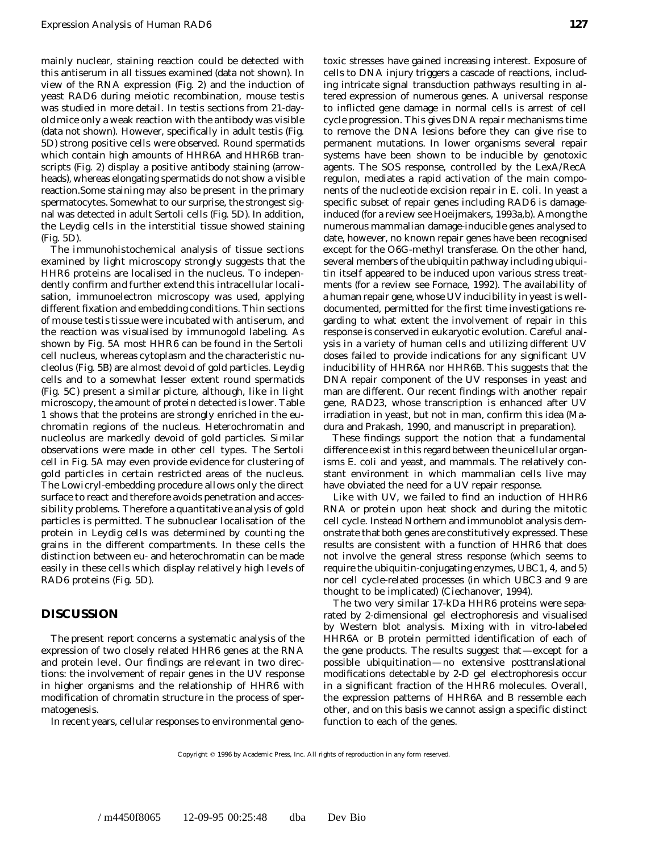this antiserum in all tissues examined (data not shown). In cells to DNA injury triggers a cascade of reactions, includview of the RNA expression (Fig. 2) and the induction of ing intricate signal transduction pathways resulting in alyeast RAD6 during meiotic recombination, mouse testis tered expression of numerous genes. A universal response was studied in more detail. In testis sections from 21-day- to inflicted gene damage in normal cells is arrest of cell old mice only a weak reaction with the antibody was visible cycle progression. This gives DNA repair mechanisms time (data not shown). However, specifically in adult testis (Fig. to remove the DNA lesions before they can give rise to 5D) strong positive cells were observed. Round spermatids permanent mutations. In lower organisms several repair which contain high amounts of *HHR6A* and *HHR6B* tran-systems have been shown to be inducible by genotoxic scripts (Fig. 2) display a positive antibody staining (arrow- agents. The SOS response, controlled by the LexA/RecA heads), whereas elongating spermatids do not show a visible regulon, mediates a rapid activation of the main comporeaction.Some staining may also be present in the primary nents of the nucleotide excision repair in *E. coli.* In yeast a spermatocytes. Somewhat to our surprise, the strongest sig-<br>specific subset of repair genes including RAD6 is damagenal was detected in adult Sertoli cells (Fig. 5D). In addition, induced (for a review see Hoeijmakers, 1993a,b). Among the the Leydig cells in the interstitial tissue showed staining numerous mammalian damage-inducible genes analysed to (Fig. 5D). date, however, no known repair genes have been recognised

examined by light microscopy strongly suggests that the several members of the ubiquitin pathway including ubiqui-HHR6 proteins are localised in the nucleus. To indepen- tin itself appeared to be induced upon various stress treatdently confirm and further extend this intracellular locali-<br>ments (for a review see Fornace, 1992). The availability of sation, immunoelectron microscopy was used, applying a human repair gene, whose UV inducibility in yeast is welldifferent fixation and embedding conditions. Thin sections documented, permitted for the first time investigations reof mouse testis tissue were incubated with antiserum, and garding to what extent the involvement of repair in this the reaction was visualised by immunogold labeling. As response is conserved in eukaryotic evolution. Careful analshown by Fig. 5A most HHR6 can be found in the Sertoli ysis in a variety of human cells and utilizing different UV cell nucleus, whereas cytoplasm and the characteristic nu- doses failed to provide indications for any significant UV cleolus (Fig. 5B) are almost devoid of gold particles. Leydig inducibility of HHR6A nor HHR6B. This suggests that the cells and to a somewhat lesser extent round spermatids DNA repair component of the UV responses in yeast and (Fig. 5C) present a similar picture, although, like in light man are different. Our recent findings with another repair microscopy, the amount of protein detected is lower. Table gene, RAD23, whose transcription is enhanced after UV 1 shows that the proteins are strongly enriched in the eu- irradiation in yeast, but not in man, confirm this idea (Machromatin regions of the nucleus. Heterochromatin and dura and Prakash, 1990, and manuscript in preparation). nucleolus are markedly devoid of gold particles. Similar These findings support the notion that a fundamental observations were made in other cell types. The Sertoli difference exist in this regard between the unicellular organcell in Fig. 5A may even provide evidence for clustering of isms *E. coli* and yeast, and mammals. The relatively congold particles in certain restricted areas of the nucleus. stant environment in which mammalian cells live may The Lowicryl-embedding procedure allows only the direct have obviated the need for a UV repair response. surface to react and therefore avoids penetration and acces-<br>Like with UV, we failed to find an induction of HHR6 sibility problems. Therefore a quantitative analysis of gold RNA or protein upon heat shock and during the mitotic particles is permitted. The subnuclear localisation of the cell cycle. Instead Northern and immunoblot analysis demprotein in Leydig cells was determined by counting the onstrate that both genes are constitutively expressed. These grains in the different compartments. In these cells the results are consistent with a function of HHR6 that does distinction between eu- and heterochromatin can be made not involve the general stress response (which seems to easily in these cells which display relatively high levels of require the ubiquitin-conjugating enzymes, UBC1, 4, and 5) RAD6 proteins (Fig. 5D). The same state of the cycle-related processes (in which UBC3 and 9 are

expression of two closely related HHR6 genes at the RNA the gene products. The results suggest that—except for a and protein level. Our findings are relevant in two direc- possible ubiquitination—no extensive posttranslational in higher organisms and the relationship of HHR6 with in a significant fraction of the HHR6 molecules. Overall, modification of chromatin structure in the process of sper- the expression patterns of HHR6A and B ressemble each matogenesis. other, and on this basis we cannot assign a specific distinct

In recent years, cellular responses to environmental geno- function to each of the genes.

mainly nuclear, staining reaction could be detected with toxic stresses have gained increasing interest. Exposure of The immunohistochemical analysis of tissue sections except for the O6G-methyl transferase. On the other hand,

thought to be implicated) (Ciechanover, 1994).

The two very similar 17-kDa HHR6 proteins were sepa-**DISCUSSION** rated by 2-dimensional gel electrophoresis and visualised by Western blot analysis. Mixing with *in vitro*-labeled The present report concerns a systematic analysis of the HHR6A or B protein permitted identification of each of tions: the involvement of repair genes in the UV response modifications detectable by 2-D gel electrophoresis occur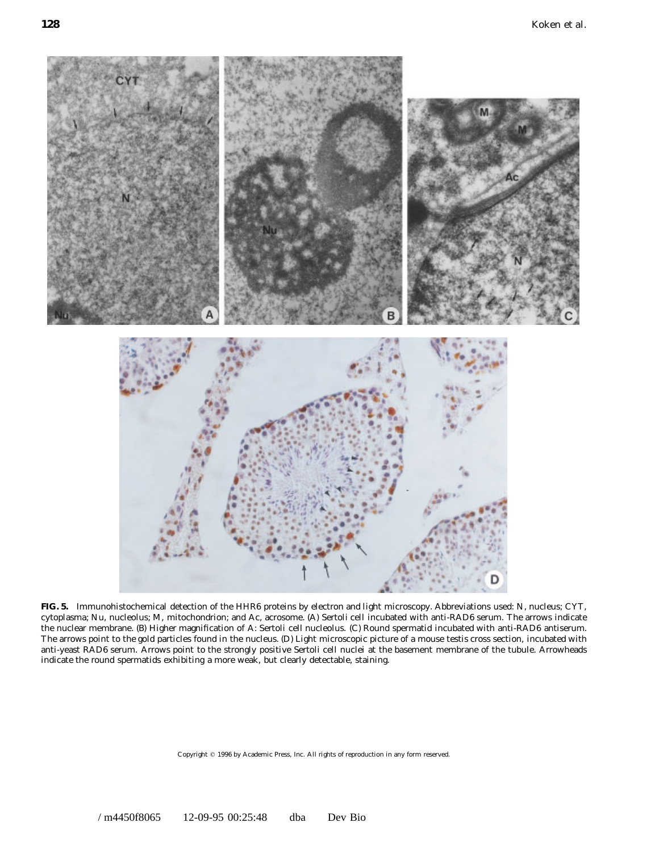

**FIG. 5.** Immunohistochemical detection of the HHR6 proteins by electron and light microscopy. Abbreviations used: N, nucleus; CYT, cytoplasma; Nu, nucleolus; M, mitochondrion; and Ac, acrosome. (A) Sertoli cell incubated with anti-RAD6 serum. The arrows indicate the nuclear membrane. (B) Higher magnification of A: Sertoli cell nucleolus. (C) Round spermatid incubated with anti-RAD6 antiserum. The arrows point to the gold particles found in the nucleus. (D) Light microscopic picture of a mouse testis cross section, incubated with anti-yeast RAD6 serum. Arrows point to the strongly positive Sertoli cell nuclei at the basement membrane of the tubule. Arrowheads indicate the round spermatids exhibiting a more weak, but clearly detectable, staining.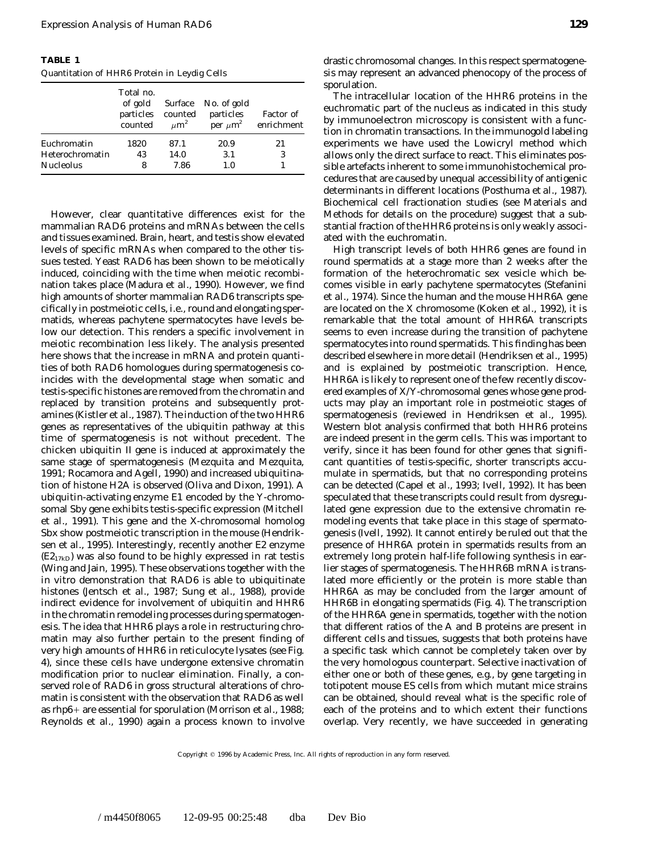| TABLE 1                                      |  |  |
|----------------------------------------------|--|--|
| Quantitation of HHR6 Protein in Leydig Cells |  |  |

|                  | Total no.<br>of gold<br>particles<br>counted | counted<br>$\mu$ m <sup>2</sup> | Surface No. of gold<br>particles | Factor of<br>per $\mu$ m <sup>2</sup> enrichment |
|------------------|----------------------------------------------|---------------------------------|----------------------------------|--------------------------------------------------|
| Euchromatin      | 1820                                         | 87.1                            | 20.9                             | 21                                               |
| Heterochromatin  | 43                                           | 14.0                            | 3.1                              | 3                                                |
| <b>Nucleolus</b> | 8                                            | 7.86                            | 1.0                              |                                                  |

mammalian RAD6 proteins and mRNAs between the cells stantial fraction of the HHR6 proteins is only weakly associand tissues examined. Brain, heart, and testis show elevated ated with the euchromatin. levels of specific mRNAs when compared to the other tis- High transcript levels of both HHR6 genes are found in sues tested. Yeast *RAD6* has been shown to be meiotically round spermatids at a stage more than 2 weeks after the induced, coinciding with the time when meiotic recombi- formation of the heterochromatic sex vesicle which benation takes place (Madura *et al.,* 1990). However, we find comes visible in early pachytene spermatocytes (Stefanini high amounts of shorter mammalian *RAD6* transcripts spe- *et al.,* 1974). Since the human and the mouse *HHR6A* gene cifically in postmeiotic cells, i.e., round and elongating sper- are located on the X chromosome (Koken *et al.,* 1992), it is matids, whereas pachytene spermatocytes have levels be- remarkable that the total amount of *HHR6A* transcripts low our detection. This renders a specific involvement in seems to even increase during the transition of pachytene meiotic recombination less likely. The analysis presented spermatocytes into round spermatids. This finding has been here shows that the increase in mRNA and protein quanti- described elsewhere in more detail (Hendriksen *et al.,* 1995) ties of both RAD6 homologues during spermatogenesis co- and is explained by postmeiotic transcription. Hence, incides with the developmental stage when somatic and *HHR6A* is likely to represent one of the few recently discovtestis-specific histones are removed from the chromatin and ered examples of X/Y-chromosomal genes whose gene prodreplaced by transition proteins and subsequently prot- ucts may play an important role in postmeiotic stages of amines (Kistler *et al.,* 1987). The induction of the two *HHR6* spermatogenesis (reviewed in Hendriksen *et al.,* 1995). genes as representatives of the ubiquitin pathway at this Western blot analysis confirmed that both HHR6 proteins time of spermatogenesis is not without precedent. The are indeed present in the germ cells. This was important to chicken ubiquitin II gene is induced at approximately the verify, since it has been found for other genes that signifisame stage of spermatogenesis (Mezquita and Mezquita, cant quantities of testis-specific, shorter transcripts accu-1991; Rocamora and Agell, 1990) and increased ubiquitina- mulate in spermatids, but that no corresponding proteins tion of histone H2A is observed (Oliva and Dixon, 1991). A can be detected (Capel *et al.,* 1993; Ivell, 1992). It has been ubiquitin-activating enzyme E1 encoded by the Y-chromo- speculated that these transcripts could result from dysregusomal *Sby* gene exhibits testis-specific expression (Mitchell lated gene expression due to the extensive chromatin re*et al.,* 1991). This gene and the X-chromosomal homolog modeling events that take place in this stage of spermato-*Sbx* show postmeiotic transcription in the mouse (Hendrik- genesis (Ivell, 1992). It cannot entirely be ruled out that the sen *et al.*, 1995). Interestingly, recently another E2 enzyme presence of HHR6A protein in spermatids results from an  $(E2<sub>17kD</sub>)$  was also found to be highly expressed in rat testis extremely long protein half-life following synthesis in ear-(Wing and Jain, 1995). These observations together with the lier stages of spermatogenesis. The *HHR6B* mRNA is trans*in vitro* demonstration that RAD6 is able to ubiquitinate lated more efficiently or the protein is more stable than histones (Jentsch *et al.,* 1987; Sung *et al.,* 1988), provide *HHR6A* as may be concluded from the larger amount of indirect evidence for involvement of ubiquitin and HHR6 HHR6B in elongating spermatids (Fig. 4). The transcription in the chromatin remodeling processes during spermatogen- of the *HHR6A* gene in spermatids, together with the notion esis. The idea that HHR6 plays a role in restructuring chro- that different ratios of the A and B proteins are present in matin may also further pertain to the present finding of different cells and tissues, suggests that both proteins have very high amounts of HHR6 in reticulocyte lysates (see Fig. a specific task which cannot be completely taken over by 4), since these cells have undergone extensive chromatin the very homologous counterpart. Selective inactivation of modification prior to nuclear elimination. Finally, a con- either one or both of these genes, e.g., by gene targeting in served role of RAD6 in gross structural alterations of chro-<br>totipotent mouse ES cells from which mutant mice strains matin is consistent with the observation that RAD6 as well can be obtained, should reveal what is the specific role of as rhp6/ are essential for sporulation (Morrison *et al.,* 1988; each of the proteins and to which extent their functions Reynolds *et al.,* 1990) again a process known to involve overlap. Very recently, we have succeeded in generating

drastic chromosomal changes. In this respect spermatogenesis may represent an advanced phenocopy of the process of

Total no.<br>
of gold<br>
of gold<br>
of gold<br>
of gold<br>
of gold<br>
of gold<br>
of gold<br>
of gold<br>
of gold<br>
of gold<br>
of gold<br>  $\mu$ <sup>2</sup> per  $\mu$ <sup>2</sup> enrichment<br>
of the nucleus as indicated in this study<br>
ounted<br>  $\mu$ <sup>2</sup> per  $\mu$ <sup>2</sup> enrichme experiments we have used the Lowicryl method which allows only the direct surface to react. This eliminates possible artefacts inherent to some immunohistochemical procedures that are caused by unequal accessibility of antigenic determinants in different locations (Posthuma *et al.,* 1987). Biochemical cell fractionation studies (see Materials and However, clear quantitative differences exist for the Methods for details on the procedure) suggest that a sub-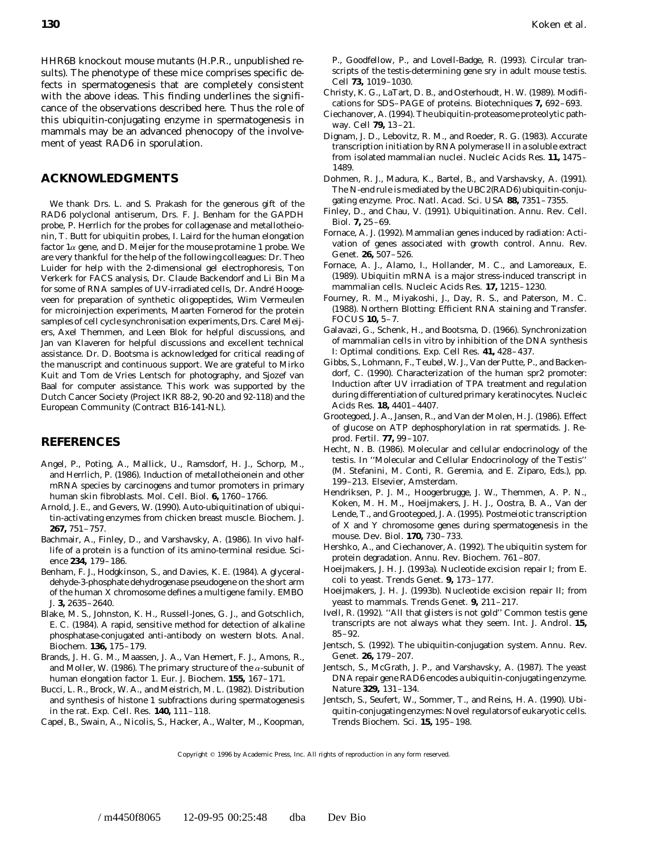*HHR6B* knockout mouse mutants (H.P.R., unpublished re-<br>
sults). The phenotype of these mice comprises specific de-<br>
scripts of the testis-determining gene sry in adult mouse testis. sults). The phenotype of these mice comprises specific de-<br>fects in spermatogenesis that are completely consistent<br>with the above ideas. This finding underlines the signifi-<br>cance of the observations described here. Thus t

We thank Drs. L. and S. Prakash for the generous gift of the gating enzyme. *Proc. Natl. Acad. Sci. USA* 88, 7351–7355.<br>AD6 polyclopel antisorum, Drs. E. J. Bopham for the CAPDH Finley, D., and Chau, V. (1991). Ubiquitinat RAD6 polyclonal antiserum, Drs. F. J. Benham for the GAPDH<br>probe, P. Herrlich for the probes for collagenase and metallotheio-<br>nin, T. Butt for ubiquitin probes, I. Laird for the human elongation<br>factor 1 $\alpha$  gene, and D. Luider for help with the 2-dimensional gel electrophoresis, Ton<br>Verkerk for FACS analysis, Dr. Claude Backendorf and Li Bin Ma (1989). Ubiquitin mRNA is a major stress-induced transcript in<br>for some of RNA samples of HV-ir for some of RNA samples of UV-irradiated cells, Dr. André Hooge-<br>ween for preparation of synthetic oligopentides. Wim Vermeulen Fourney, R. M., Miyakoshi, J., Day, R. S., and Paterson, M. C. veen for preparation of synthetic oligopeptides, Wim Vermeulen Fourney, R. M., Miyakoshi, J., Day, R. S., and Paterson, M. C.<br>for microiniection experiments, Maarten Fornerod for the protein (1988). Northern Blotting: Effi for microinjection experiments, Maarten Fornerod for the protein (1988). Northern Blotting: Efficient RNA staining and Transfer.<br>samples of cell cycle synchronisation experiments, Drs. Carel Meij-<br>ers. Axel. Themmen, and L ers, Axel Themmen, and Leen Blok for helpful discussions, and Galavazi, G., Schenk, H., and Bootsma, D. (1966). Synchronization<br>Jan van Klaveren for helpful discussions and excellent technical of mammalian cells in vitro b Jan van Klaveren for helpful discussions and excellent technical of mammalian cells *in vitro* by inhibition of the DI<br>assistance, Dr. D. Bootsma is acknowledged for critical reading of L. Optimal conditions. *Exp. Cell Re* assistance. Dr. D. Bootsma is acknowledged for critical reading of L. Optimal conditions. *Exp. Cell Res.* **41,** 428–437.<br>The manuscript and continuous support. We are grateful to Mirko Gibbs, S., Lohmann, F., Teubel, W. J the manuscript and continuous support. We are grateful to Mirko<br>Kuit and Tom de Vries Lentsch for photography, and Siozef van dorf, C. (1990). Characterization of the human spr2 promoter: Kuit and Tom de Vries Lentsch for photography, and Sjozef van dorf, C. (1990). Characterization of the human *spr2* promoter:<br>Raal for computer assistance. This work was supported by the Induction after UV irradiation of T Dutch Cancer Society (Project IKR 88-2, 90-20 and 92-118) and the during differentiation of cu<br>European Community (Contract B16-141-NL). *Acids Res.* **18,** 4401–4407. European Community (Contract B16-141-NL).

- mRNA species by carcinogens and tumor promoters in primary
- 
- 267, 751–757.<br>Bachmair, A., Finley, D., and Varshavsky, A. (1986). In vivo half-<br>life of a protein is a function of its amino-terminal residue. Sci-<br>life of a protein is a function of its amino-terminal residue. Sci-<br>life protein degradation. *Annu. Rev. Biochem.* 761 –807. *ence* **234,** 179–186.
- Benham, F. J., Hodgkinson, S., and Davies, K. E. (1984). A glyceral-<br>dehyde-3-phosphate dehydrogenase pseudogene on the short arm coli to yeast. Trends Genet. 9, 173–177.<br>of the human X chromosome defines a multigene famil of the human X chromosome defines a multigene family. *EMBO* yeast to mammals. *Trends Genet.* **9,** 211–217. *J.* **3,** 2635–2640.
- E. C. (1984). A rapid, sensitive method for detection of alkaline phosphatase-conjugated anti-antibody on western blots. *Anal.* 85–92.
- Brands, J. H. G. M., Maassen, J. A., Van Hemert, F. J., Amons, R., *Genet.* **26,** 179–207. and Moller, W. (1986). The primary structure of the  $\alpha$ -subunit of Jentsch, S., McGrath, J. P., and Varshavsky, A. (1987). The yeast
- Bucci, L. R., Brock, W. A., and Meistrich, M. L. (1982). Distribution *Nature* **329,** 131–134. and synthesis of histone 1 subfractions during spermatogenesis Jentsch, S., Seufert, W., Sommer, T., and Reins, H. A. (1990). Ubi-
- Capel, B., Swain, A., Nicolis, S., Hacker, A., Walter, M., Koopman, *Trends Biochem. Sci.* **15,** 195–198.

- 
- 
- from isolated mammalian nuclei. *Nucleic Acids Res.* **11,** 1475– 1489.
- **ACKNOWLEDGMENTS** Dohmen, R. J., Madura, K., Bartel, B., and Varshavsky, A. (1991). The N-end rule is mediated by the UBC2(RAD6) ubiquitin-conju-
	-
	-
	-
	-
	-
- Baal for computer assistance. This work was supported by the Induction after UV irradiation of TPA treatment and regulation<br>Dutch Cancer Society (Project IKR 88-2, 90-20 and 92-118) and the during differentiation of cultur
- Grootegoed, J. A., Jansen, R., and Van der Molen, H. J. (1986). Effect of glucose on ATP dephosphorylation in rat spermatids. *J. Re-***REFERENCES** *prod. Fertil.* 77, 99-107.<br>Hecht, N. B. (1986). Molecular and cellular endocrinology of the
- Angel, P., Poting, A., Mallick, U., Ramsdorf, H. J., Schorp, M.,<br>and Herrlich, P. (1986). Induction of metallotheories in and other (M. Stefanini, M. Conti, R. Geremia, and E. Ziparo, Eds.), pp.<br>199-213. Elsevier. Amsterda
- Hendriksen, P. J. M., Hoogerbrugge, J. W., Themmen, A. P. N., I. M., Hoogerbrugge, J. W., Themmen, A. P. N., Themmen, A. P. N., Themmen, A. P. N., Themmen, A. P. N., Themmen, A. P. N., Themmen, A. P. N., Themmen, A. P. N., Arnold, J. E., and Gevers, W. (1990). Auto-ubiquitination of ubiqui-<br>tin-activating enzymes from chicken breast muscle. *Biochem. J.*<br>**Example A. A.** (1995). Postmeiotic transcription<br>of X and Y chromosome genes during spe
	-
	-
	-
- Blake, M. S., Johnston, K. H., Russell-Jones, G. J., and Gotschlich, Ivell, R. (1992). "All that glisters is not gold'' Common testis gene<br>E. C. (1984). A rapid. sensitive method for detection of alkaline transcripts are n
	- *Biochem.* **136,** 175–179. Jentsch, S. (1992). The ubiquitin-conjugation system. *Annu. Rev.*
	- human elongation factor 1. *Eur. J. Biochem.* **155,** 167–171. DNA repair gene RAD6 encodes a ubiquitin-conjugating enzyme.
	- in the rat. *Exp. Cell. Res.* **140,** 111–118. quitin-conjugating enzymes: Novel regulators of eukaryotic cells.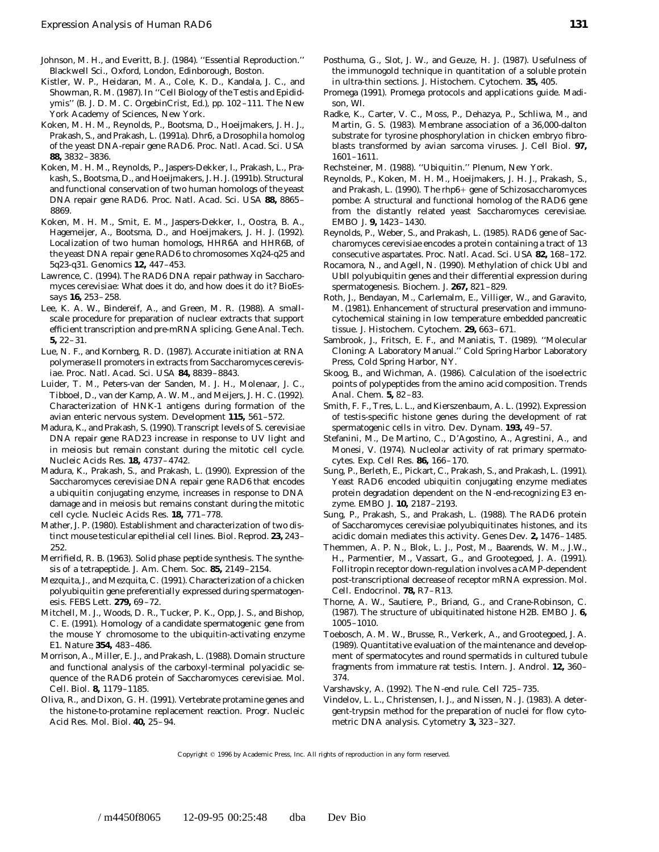- Johnson, M. H., and Everitt, B. J. (1984). ''Essential Reproduction.'' Posthuma, G., Slot, J. W., and Geuze, H. J. (1987). Usefulness of
- Kistler, W. P., Heidaran, M. A., Cole, K. D., Kandala, J. C., and Showman, R. M. (1987). *In* ''Cell Biology of the Testis and Epidid- Promega (1991). Promega protocols and applications guide. Madiymis" (B. J. D. M. C. OrgebinCrist, Ed.), pp. 102-111. The New son, WI. York Academy of Sciences, New York. Radke, K., Carter, V. C., Moss, P., Dehazya, P., Schliwa, M., and
- **88,** 3832–3836. 1601–1611.
- Koken, M. H. M., Reynolds, P., Jaspers-Dekker, I., Prakash, L., Pra- Rechsteiner, M. (1988). ''Ubiquitin.'' Plenum, New York. kash, S., Bootsma, D., and Hoeijmakers, J. H. J. (1991b). Structural Reynolds, P., Koken, M. H. M., Hoeijmakers, J. H. J., Prakash, S.,
- Koken, M. H. M., Smit, E. M., Jaspers-Dekker, I., Oostra, B. A., *EMBO J.* **9,** 1423–1430. Hagemeijer, A., Bootsma, D., and Hoeijmakers, J. H. J. (1992). Reynolds, P., Weber, S., and Prakash, L. (1985). *RAD6* gene of *Sac-*5q23-q31. *Genomics* **12,** 447–453. Rocamora, N., and Agell, N. (1990). Methylation of chick UbI and
- *myces cerevisiae:* What does it do, and how does it do it? *BioEs-* spermatogenesis. *Biochem. J.* **267,** 821 –829. *says* **16,** 253–258. Roth, J., Bendayan, M., Carlemalm, E., Villiger, W., and Garavito,
- Lee, K. A. W., Bindereif, A., and Green, M. R. (1988). A small- M. (1981). Enhancement of structural preservation and immunoefficient transcription and pre-mRNA splicing. *Gene Anal. Tech.* tissue. *J. Histochem. Cytochem.* **29,** 663–671. **5,** 22–31. Sambrook, J., Fritsch, E. F., and Maniatis, T. (1989). ''Molecular
- polymerase II promoters in extracts from *Saccharomyces cerevis-* Press, Cold Spring Harbor, NY.
- Tibboel, D., van der Kamp, A. W. M., and Meijers, J. H. C. (1992). *Anal. Chem.* **5,** 82 –83. Characterization of HNK-1 antigens during formation of the Smith, F. F., Tres, L. L., and Kierszenbaum, A. L. (1992). Expression
- Madura, K., and Prakash, S. (1990). Transcript levels of *S. cerevisiae* spermatogenic cells in vitro. *Dev. Dynam.* **193,** 49 –57. *Nucleic Acids Res.* **18,** 4737–4742. cytes. *Exp. Cell Res.* **86,** 166–170.
- Madura, K., Prakash, S., and Prakash, L. (1990). Expression of the Sung, P., Berleth, E., Pickart, C., Prakash, S., and Prakash, L. (1991). damage and in meiosis but remains constant during the mitotic zyme. *EMBO J.* **10,** 2187–2193. cell cycle. *Nucleic Acids Res.* **18,** 771–778. Sung, P., Prakash, S., and Prakash, L. (1988). The RAD6 protein
- 252. Themmen, A. P. N., Blok, L. J., Post, M., Baarends, W. M., J.W.,
- 
- polyubiquitin gene preferentially expressed during spermatogen- *Cell. Endocrinol.* **78,** R7–R13. esis. *FEBS Lett.* **279,** 69 –72. Thorne, A. W., Sautiere, P., Briand, G., and Crane-Robinson, C.
- C. E. (1991). Homology of a candidate spermatogenic gene from
- quence of the RAD6 protein of Saccharomyces cerevisiae. *Mol.* 374. *Cell. Biol.* **8,** 1179–1185. Varshavsky, A. (1992). The N-end rule. *Cell* 725–735.
- Oliva, R., and Dixon, G. H. (1991). Vertebrate protamine genes and Vindelov, L. L., Christensen, I. J., and Nissen, N. J. (1983). A deter-*Acid Res. Mol. Biol.* **40,** 25–94. metric DNA analysis. *Cytometry* **3,** 323 –327.
- Blackwell Sci., Oxford, London, Edinborough, Boston. the immunogold technique in quantitation of a soluble protein istler, W. P., Heidaran, M. A., Cole, K. D., Kandala, J. C., and in ultra-thin sections. J. Histochem. Cyto
	-
- Koken, M. H. M., Reynolds, P., Bootsma, D., Hoeijmakers, J. H. J., Martin, G. S. (1983). Membrane association of a 36,000-dalton Prakash, S., and Prakash, L. (1991a). *Dhr6,* a *Drosophila* homolog substrate for tyrosine phosphorylation in chicken embryo fibroof the yeast DNA-repair gene *RAD6. Proc. Natl. Acad. Sci. USA* blasts transformed by avian sarcoma viruses. *J. Cell Biol.* **97,**
	-
	- and functional conservation of two human homologs of the yeast and Prakash, L. (1990). The rhp6+ gene of *Schizosaccharomyces* DNA repair gene *RAD6. Proc. Natl. Acad. Sci. USA* **88,** 8865– *pombe:* A structural and functional homolog of the RAD6 gene 8869. from the distantly related yeast *Saccharomyces cerevisiae*.
	- Localization of two human homologs, HHR6A and HHR6B, of *charomyces cerevisiae* encodes a protein containing a tract of 13 the yeast DNA repair gene RAD6 to chromosomes Xq24-q25 and consecutive aspartates. *Proc. Natl. Acad. Sci. USA* **82,** 168–172.
- Lawrence, C. (1994). The RAD6 DNA repair pathway in *Saccharo-* UbII polyubiquitin genes and their differential expression during
	- scale procedure for preparation of nuclear extracts that support cytochemical staining in low temperature embedded pancreatic
- Lue, N. F., and Kornberg, R. D. (1987). Accurate initiation at RNA Cloning: A Laboratory Manual.'' Cold Spring Harbor Laboratory
- *iae. Proc. Natl. Acad. Sci. USA* **84,** 8839–8843. Skoog, B., and Wichman, A. (1986). Calculation of the isoelectric Luider, T. M., Peters-van der Sanden, M. J. H., Molenaar, J. C., points of polypeptides from the amino acid composition. *Trends*
	- avian enteric nervous system. *Development* **115,** 561–572. of testis-specific histone genes during the development of rat
	- DNA repair gene *RAD23* increase in response to UV light and Stefanini, M., De Martino, C., D'Agostino, A., Agrestini, A., and in meiosis but remain constant during the mitotic cell cycle. Monesi, V. (1974). Nucleolar activity of rat primary spermato-
	- *Saccharomyces cerevisiae* DNA repair gene RAD6 that encodes Yeast RAD6 encoded ubiquitin conjugating enzyme mediates a ubiquitin conjugating enzyme, increases in response to DNA protein degradation dependent on the N-end-recognizing E3 en-
- Mather, J. P. (1980). Establishment and characterization of two dis- of Saccharomyces cerevisiae polyubiquitinates histones, and its tinct mouse testicular epithelial cell lines. *Biol. Reprod.* **23,** 243– acidic domain mediates this activity. *Genes Dev.* **2,** 1476–1485.
- Merrifield, R. B. (1963). Solid phase peptide synthesis. The synthe- H., Parmentier, M., Vassart, G., and Grootegoed, J. A. (1991). sis of a tetrapeptide. *J. Am. Chem. Soc.* **85,** 2149–2154. Follitropin receptor down-regulation involves a cAMP-dependent Mezquita, J., and Mezquita, C. (1991). Characterization of a chicken post-transcriptional decrease of receptor mRNA expression. *Mol.*
- Mitchell, M. J., Woods, D. R., Tucker, P. K., Opp, J. S., and Bishop, (1987). The structure of ubiquitinated histone H2B. *EMBO J.* **6,**
- the mouse Y chromosome to the ubiquitin-activating enzyme Toebosch, A. M. W., Brusse, R., Verkerk, A., and Grootegoed, J. A. E1. *Nature* **354,** 483–486. (1989). Quantitative evaluation of the maintenance and develop-Morrison, A., Miller, E. J., and Prakash, L. (1988). Domain structure ment of spermatocytes and round spermatids in cultured tubule and functional analysis of the carboxyl-terminal polyacidic se- fragments from immature rat testis. *Intern. J. Androl.* **12,** 360–
	-
	- the histone-to-protamine replacement reaction. *Progr. Nucleic* gent-trypsin method for the preparation of nuclei for flow cyto-